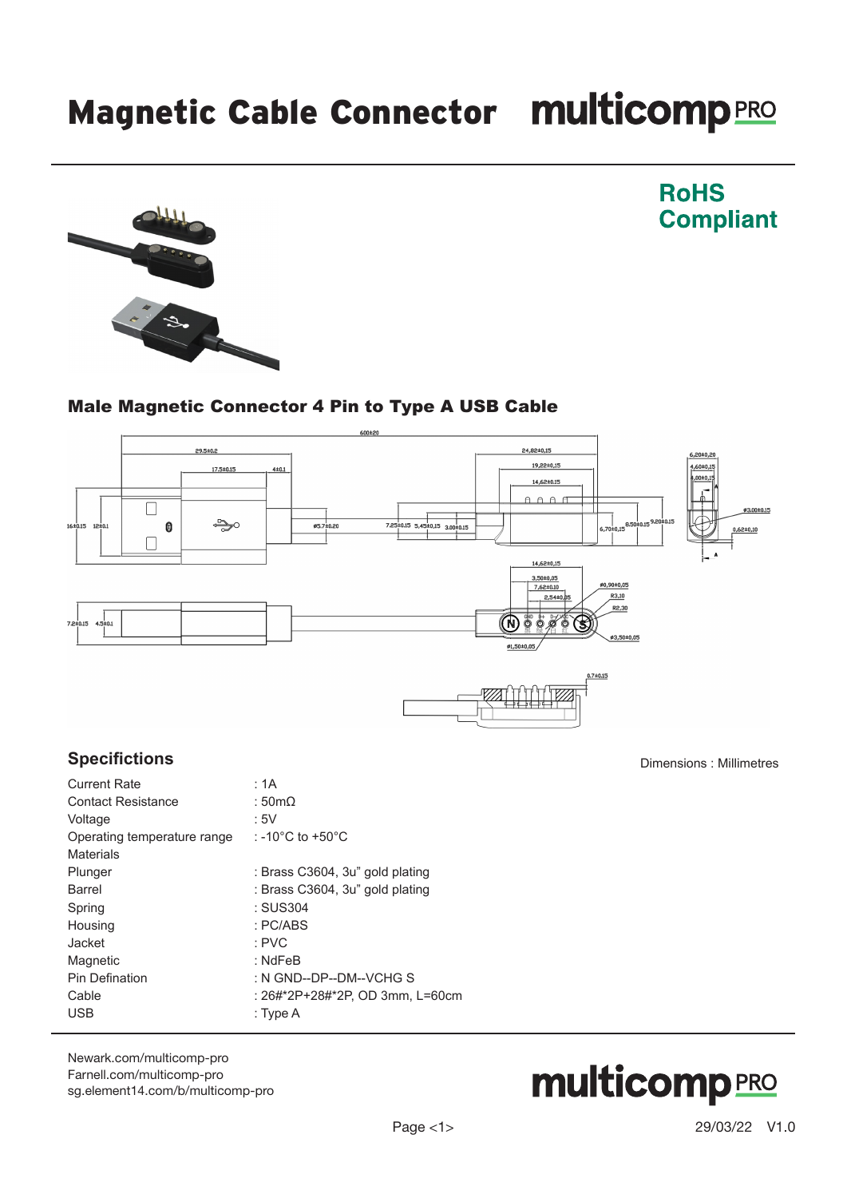# Magnetic Cable Connector multicomp PRO



## Male Magnetic Connector 4 Pin to Type A USB Cable



#### **Specifictions**

| <b>Current Rate</b>         | : 1A                                   |
|-----------------------------|----------------------------------------|
| <b>Contact Resistance</b>   | : 50m $\Omega$                         |
| Voltage                     | :5V                                    |
| Operating temperature range | : -10 $^{\circ}$ C to +50 $^{\circ}$ C |
| <b>Materials</b>            |                                        |
| Plunger                     | : Brass C3604, 3u" gold plating        |
| <b>Barrel</b>               | : Brass C3604, 3u" gold plating        |
| Spring                      | : SUS304                               |
| Housing                     | : PC/ABS                               |
| Jacket                      | $:$ PVC                                |
| Magnetic                    | $:$ NdFeB                              |
| <b>Pin Defination</b>       | : N GND--DP--DM--VCHG S                |
| Cable                       | : 26#*2P+28#*2P. OD 3mm. L=60cm        |
| <b>USB</b>                  | : Type A                               |
|                             |                                        |

[Newark.com/multicomp-](https://www.newark.com/multicomp-pro)pro [Farnell.com/multicomp](https://www.farnell.com/multicomp-pro)-pro [sg.element14.com/b/multicomp-pro](https://sg.element14.com/b/multicomp-pro)



Dimensions : Millimetres

**RoHS** 

**Compliant**